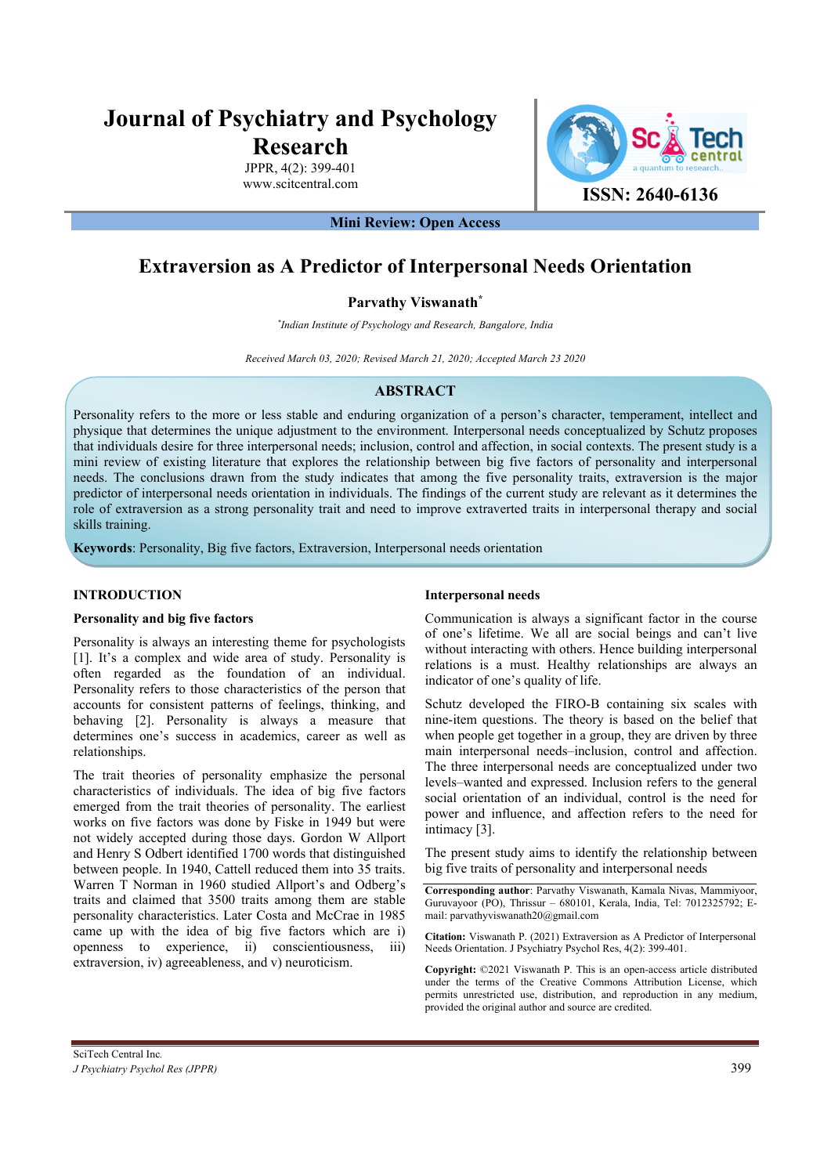# **Journal of Psychiatry and Psychology Research**

JPPR, 4(2): 399-401 www.scitcentral.com



**Mini Review: Open Access** 

# **Extraversion as A Predictor of Interpersonal Needs Orientation**

### **Parvathy Viswanath\***

*\* Indian Institute of Psychology and Research, Bangalore, India* 

*Received March 03, 2020; Revised March 21, 2020; Accepted March 23 2020*

## **ABSTRACT**

Personality refers to the more or less stable and enduring organization of a person's character, temperament, intellect and physique that determines the unique adjustment to the environment. Interpersonal needs conceptualized by Schutz proposes that individuals desire for three interpersonal needs; inclusion, control and affection, in social contexts. The present study is a mini review of existing literature that explores the relationship between big five factors of personality and interpersonal needs. The conclusions drawn from the study indicates that among the five personality traits, extraversion is the major predictor of interpersonal needs orientation in individuals. The findings of the current study are relevant as it determines the role of extraversion as a strong personality trait and need to improve extraverted traits in interpersonal therapy and social skills training.

**Keywords**: Personality, Big five factors, Extraversion, Interpersonal needs orientation

#### **INTRODUCTION**

#### **Personality and big five factors**

Personality is always an interesting theme for psychologists [1]. It's a complex and wide area of study. Personality is often regarded as the foundation of an individual. Personality refers to those characteristics of the person that accounts for consistent patterns of feelings, thinking, and behaving [2]. Personality is always a measure that determines one's success in academics, career as well as relationships.

The trait theories of personality emphasize the personal characteristics of individuals. The idea of big five factors emerged from the trait theories of personality. The earliest works on five factors was done by Fiske in 1949 but were not widely accepted during those days. Gordon W Allport and Henry S Odbert identified 1700 words that distinguished between people. In 1940, Cattell reduced them into 35 traits. Warren T Norman in 1960 studied Allport's and Odberg's traits and claimed that 3500 traits among them are stable personality characteristics. Later Costa and McCrae in 1985 came up with the idea of big five factors which are i) openness to experience, ii) conscientiousness, iii) extraversion, iv) agreeableness, and v) neuroticism.

#### **Interpersonal needs**

Communication is always a significant factor in the course of one's lifetime. We all are social beings and can't live without interacting with others. Hence building interpersonal relations is a must. Healthy relationships are always an indicator of one's quality of life.

Schutz developed the FIRO-B containing six scales with nine-item questions. The theory is based on the belief that when people get together in a group, they are driven by three main interpersonal needs–inclusion, control and affection. The three interpersonal needs are conceptualized under two levels–wanted and expressed. Inclusion refers to the general social orientation of an individual, control is the need for power and influence, and affection refers to the need for intimacy [3].

The present study aims to identify the relationship between big five traits of personality and interpersonal needs

**Corresponding author**: Parvathy Viswanath, Kamala Nivas, Mammiyoor, Guruvayoor (PO), Thrissur – 680101, Kerala, India, Tel: 7012325792; Email: parvathyviswanath20@gmail.com

**Citation:** Viswanath P. (2021) Extraversion as A Predictor of Interpersonal Needs Orientation. J Psychiatry Psychol Res, 4(2): 399-401.

**Copyright:** ©2021 Viswanath P. This is an open-access article distributed under the terms of the Creative Commons Attribution License, which permits unrestricted use, distribution, and reproduction in any medium, provided the original author and source are credited.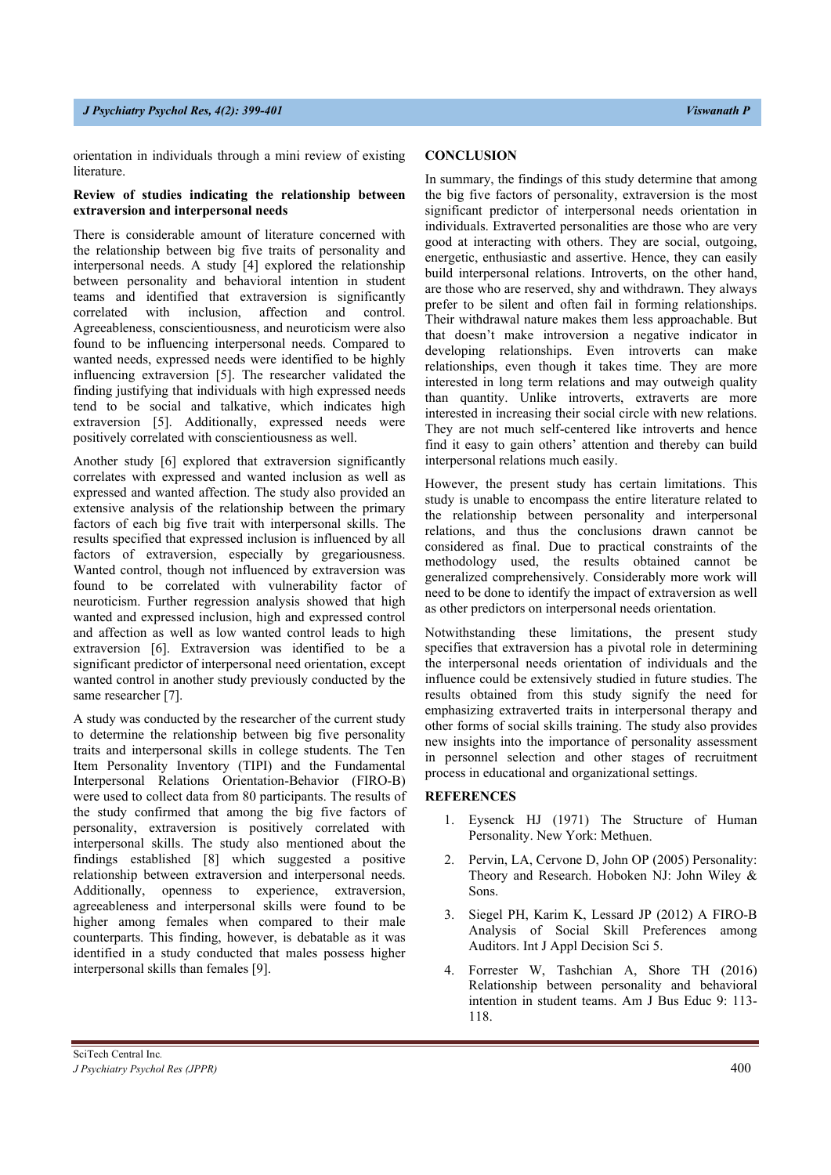#### *J Psychiatry Psychol Res, 4(2): 399-401 Viswanath P*

orientation in individuals through a mini review of existing literature.

#### **Review of studies indicating the relationship between extraversion and interpersonal needs**

There is considerable amount of literature concerned with the relationship between big five traits of personality and interpersonal needs. A study [4] explored the relationship between personality and behavioral intention in student teams and identified that extraversion is significantly correlated with inclusion, affection and control. Agreeableness, conscientiousness, and neuroticism were also found to be influencing interpersonal needs. Compared to wanted needs, expressed needs were identified to be highly influencing extraversion [5]. The researcher validated the finding justifying that individuals with high expressed needs tend to be social and talkative, which indicates high extraversion [5]. Additionally, expressed needs were positively correlated with conscientiousness as well.

Another study [6] explored that extraversion significantly correlates with expressed and wanted inclusion as well as expressed and wanted affection. The study also provided an extensive analysis of the relationship between the primary factors of each big five trait with interpersonal skills. The results specified that expressed inclusion is influenced by all factors of extraversion, especially by gregariousness. Wanted control, though not influenced by extraversion was found to be correlated with vulnerability factor of neuroticism. Further regression analysis showed that high wanted and expressed inclusion, high and expressed control and affection as well as low wanted control leads to high extraversion [6]. Extraversion was identified to be a significant predictor of interpersonal need orientation, except wanted control in another study previously conducted by the same researcher [7].

A study was conducted by the researcher of the current study to determine the relationship between big five personality traits and interpersonal skills in college students. The Ten Item Personality Inventory (TIPI) and the Fundamental Interpersonal Relations Orientation-Behavior (FIRO-B) were used to collect data from 80 participants. The results of the study confirmed that among the big five factors of personality, extraversion is positively correlated with interpersonal skills. The study also mentioned about the findings established [8] which suggested a positive relationship between extraversion and interpersonal needs. Additionally, openness to experience, extraversion, agreeableness and interpersonal skills were found to be higher among females when compared to their male counterparts. This finding, however, is debatable as it was identified in a study conducted that males possess higher interpersonal skills than females [9].

#### **CONCLUSION**

In summary, the findings of this study determine that among the big five factors of personality, extraversion is the most significant predictor of interpersonal needs orientation in individuals. Extraverted personalities are those who are very good at interacting with others. They are social, outgoing, energetic, enthusiastic and assertive. Hence, they can easily build interpersonal relations. Introverts, on the other hand, are those who are reserved, shy and withdrawn. They always prefer to be silent and often fail in forming relationships. Their withdrawal nature makes them less approachable. But that doesn't make introversion a negative indicator in developing relationships. Even introverts can make relationships, even though it takes time. They are more interested in long term relations and may outweigh quality than quantity. Unlike introverts, extraverts are more interested in increasing their social circle with new relations. They are not much self-centered like introverts and hence find it easy to gain others' attention and thereby can build interpersonal relations much easily.

However, the present study has certain limitations. This study is unable to encompass the entire literature related to the relationship between personality and interpersonal relations, and thus the conclusions drawn cannot be considered as final. Due to practical constraints of the methodology used, the results obtained cannot be generalized comprehensively. Considerably more work will need to be done to identify the impact of extraversion as well as other predictors on interpersonal needs orientation.

Notwithstanding these limitations, the present study specifies that extraversion has a pivotal role in determining the interpersonal needs orientation of individuals and the influence could be extensively studied in future studies. The results obtained from this study signify the need for emphasizing extraverted traits in interpersonal therapy and other forms of social skills training. The study also provides new insights into the importance of personality assessment in personnel selection and other stages of recruitment process in educational and organizational settings.

#### **REFERENCES**

- 1. Eysenck HJ (1971) The Structure of Human Personality. New York: Methuen.
- 2. Pervin, LA, Cervone D, John OP (2005) Personality: Theory and Research. Hoboken NJ: John Wiley & Sons.
- 3. Siegel PH, Karim K, Lessard JP (2012) A FIRO-B Analysis of Social Skill Preferences among Auditors. Int J Appl Decision Sci 5.
- 4. Forrester W, Tashchian A, Shore TH (2016) Relationship between personality and behavioral intention in student teams. Am J Bus Educ 9: 113- 118.